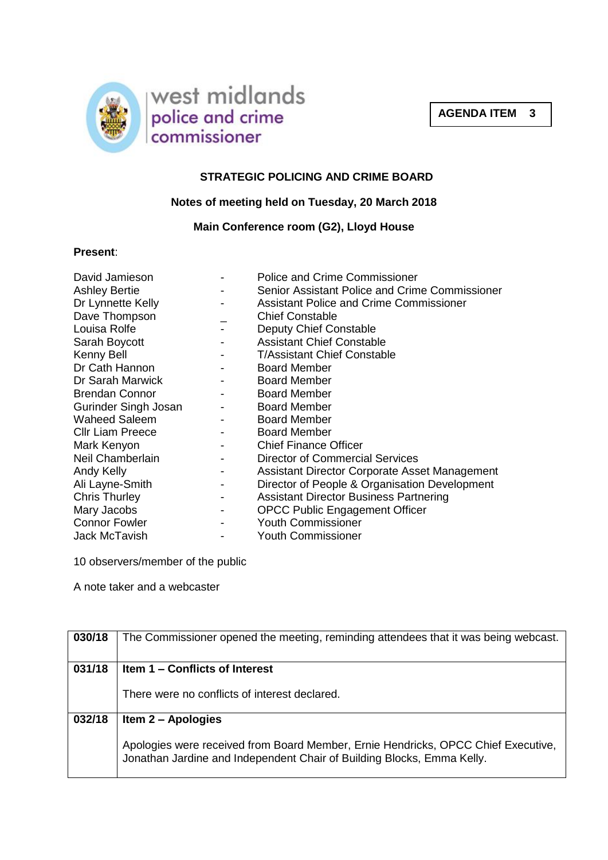



# **STRATEGIC POLICING AND CRIME BOARD**

### **Notes of meeting held on Tuesday, 20 March 2018**

### **Main Conference room (G2), Lloyd House**

### **Present**:

| David Jamieson<br><b>Ashley Bertie</b><br>Dr Lynnette Kelly<br>Dave Thompson<br>Louisa Rolfe<br>Sarah Boycott<br>Kenny Bell<br>Dr Cath Hannon<br>Dr Sarah Marwick<br><b>Brendan Connor</b><br>Gurinder Singh Josan<br><b>Waheed Saleem</b><br><b>Cllr Liam Preece</b><br>Mark Kenyon<br>Neil Chamberlain<br>Andy Kelly<br>Ali Layne-Smith<br><b>Chris Thurley</b><br>Mary Jacobs | <b>Police and Crime Commissioner</b><br>Senior Assistant Police and Crime Commissioner<br><b>Assistant Police and Crime Commissioner</b><br><b>Chief Constable</b><br>Deputy Chief Constable<br><b>Assistant Chief Constable</b><br><b>T/Assistant Chief Constable</b><br><b>Board Member</b><br><b>Board Member</b><br><b>Board Member</b><br><b>Board Member</b><br><b>Board Member</b><br><b>Board Member</b><br><b>Chief Finance Officer</b><br><b>Director of Commercial Services</b><br>Assistant Director Corporate Asset Management<br>Director of People & Organisation Development<br><b>Assistant Director Business Partnering</b><br><b>OPCC Public Engagement Officer</b> |
|----------------------------------------------------------------------------------------------------------------------------------------------------------------------------------------------------------------------------------------------------------------------------------------------------------------------------------------------------------------------------------|----------------------------------------------------------------------------------------------------------------------------------------------------------------------------------------------------------------------------------------------------------------------------------------------------------------------------------------------------------------------------------------------------------------------------------------------------------------------------------------------------------------------------------------------------------------------------------------------------------------------------------------------------------------------------------------|
| <b>Connor Fowler</b>                                                                                                                                                                                                                                                                                                                                                             | <b>Youth Commissioner</b>                                                                                                                                                                                                                                                                                                                                                                                                                                                                                                                                                                                                                                                              |
| Jack McTavish                                                                                                                                                                                                                                                                                                                                                                    | <b>Youth Commissioner</b>                                                                                                                                                                                                                                                                                                                                                                                                                                                                                                                                                                                                                                                              |

10 observers/member of the public

A note taker and a webcaster

| 030/18 | The Commissioner opened the meeting, reminding attendees that it was being webcast. |
|--------|-------------------------------------------------------------------------------------|
| 031/18 | Item 1 – Conflicts of Interest                                                      |
|        |                                                                                     |
|        | There were no conflicts of interest declared.                                       |
|        |                                                                                     |
| 032/18 | Item 2 – Apologies                                                                  |
|        |                                                                                     |
|        | Apologies were received from Board Member, Ernie Hendricks, OPCC Chief Executive,   |
|        | Jonathan Jardine and Independent Chair of Building Blocks, Emma Kelly.              |
|        |                                                                                     |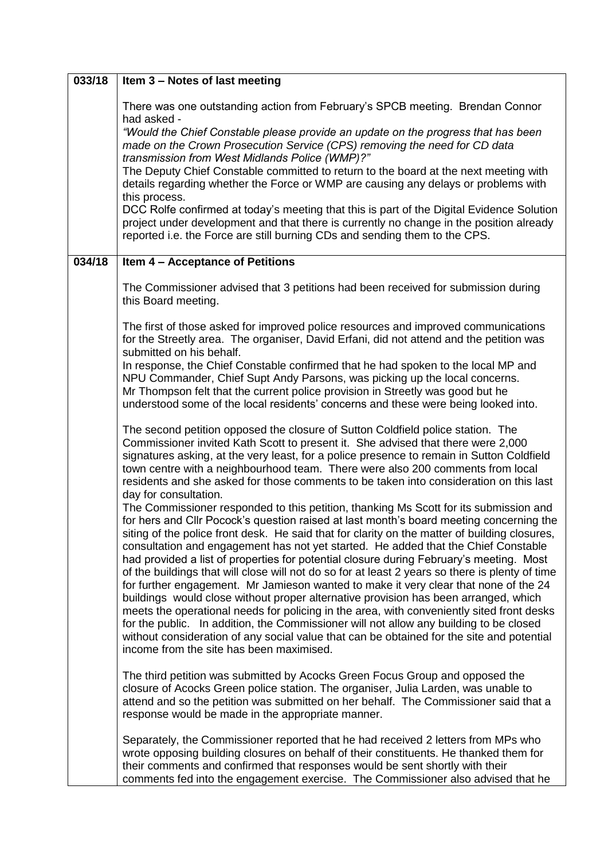| 033/18 | Item 3 - Notes of last meeting                                                                                                                                                                                                                                                                                                                                                                                                                                                                                                                                                                                                                                                                                                                                                                                                                                                                                                                                                                                                                                                       |
|--------|--------------------------------------------------------------------------------------------------------------------------------------------------------------------------------------------------------------------------------------------------------------------------------------------------------------------------------------------------------------------------------------------------------------------------------------------------------------------------------------------------------------------------------------------------------------------------------------------------------------------------------------------------------------------------------------------------------------------------------------------------------------------------------------------------------------------------------------------------------------------------------------------------------------------------------------------------------------------------------------------------------------------------------------------------------------------------------------|
|        | There was one outstanding action from February's SPCB meeting. Brendan Connor                                                                                                                                                                                                                                                                                                                                                                                                                                                                                                                                                                                                                                                                                                                                                                                                                                                                                                                                                                                                        |
|        | had asked -<br>"Would the Chief Constable please provide an update on the progress that has been<br>made on the Crown Prosecution Service (CPS) removing the need for CD data<br>transmission from West Midlands Police (WMP)?"                                                                                                                                                                                                                                                                                                                                                                                                                                                                                                                                                                                                                                                                                                                                                                                                                                                      |
|        | The Deputy Chief Constable committed to return to the board at the next meeting with<br>details regarding whether the Force or WMP are causing any delays or problems with<br>this process.                                                                                                                                                                                                                                                                                                                                                                                                                                                                                                                                                                                                                                                                                                                                                                                                                                                                                          |
|        | DCC Rolfe confirmed at today's meeting that this is part of the Digital Evidence Solution<br>project under development and that there is currently no change in the position already<br>reported i.e. the Force are still burning CDs and sending them to the CPS.                                                                                                                                                                                                                                                                                                                                                                                                                                                                                                                                                                                                                                                                                                                                                                                                                   |
| 034/18 | Item 4 - Acceptance of Petitions                                                                                                                                                                                                                                                                                                                                                                                                                                                                                                                                                                                                                                                                                                                                                                                                                                                                                                                                                                                                                                                     |
|        | The Commissioner advised that 3 petitions had been received for submission during<br>this Board meeting.                                                                                                                                                                                                                                                                                                                                                                                                                                                                                                                                                                                                                                                                                                                                                                                                                                                                                                                                                                             |
|        | The first of those asked for improved police resources and improved communications<br>for the Streetly area. The organiser, David Erfani, did not attend and the petition was<br>submitted on his behalf.                                                                                                                                                                                                                                                                                                                                                                                                                                                                                                                                                                                                                                                                                                                                                                                                                                                                            |
|        | In response, the Chief Constable confirmed that he had spoken to the local MP and<br>NPU Commander, Chief Supt Andy Parsons, was picking up the local concerns.<br>Mr Thompson felt that the current police provision in Streetly was good but he<br>understood some of the local residents' concerns and these were being looked into.                                                                                                                                                                                                                                                                                                                                                                                                                                                                                                                                                                                                                                                                                                                                              |
|        | The second petition opposed the closure of Sutton Coldfield police station. The<br>Commissioner invited Kath Scott to present it. She advised that there were 2,000<br>signatures asking, at the very least, for a police presence to remain in Sutton Coldfield<br>town centre with a neighbourhood team. There were also 200 comments from local<br>residents and she asked for those comments to be taken into consideration on this last<br>day for consultation.                                                                                                                                                                                                                                                                                                                                                                                                                                                                                                                                                                                                                |
|        | The Commissioner responded to this petition, thanking Ms Scott for its submission and<br>for hers and Cllr Pocock's question raised at last month's board meeting concerning the<br>siting of the police front desk. He said that for clarity on the matter of building closures,<br>consultation and engagement has not yet started. He added that the Chief Constable<br>had provided a list of properties for potential closure during February's meeting. Most<br>of the buildings that will close will not do so for at least 2 years so there is plenty of time<br>for further engagement. Mr Jamieson wanted to make it very clear that none of the 24<br>buildings would close without proper alternative provision has been arranged, which<br>meets the operational needs for policing in the area, with conveniently sited front desks<br>for the public. In addition, the Commissioner will not allow any building to be closed<br>without consideration of any social value that can be obtained for the site and potential<br>income from the site has been maximised. |
|        | The third petition was submitted by Acocks Green Focus Group and opposed the<br>closure of Acocks Green police station. The organiser, Julia Larden, was unable to<br>attend and so the petition was submitted on her behalf. The Commissioner said that a<br>response would be made in the appropriate manner.                                                                                                                                                                                                                                                                                                                                                                                                                                                                                                                                                                                                                                                                                                                                                                      |
|        | Separately, the Commissioner reported that he had received 2 letters from MPs who<br>wrote opposing building closures on behalf of their constituents. He thanked them for<br>their comments and confirmed that responses would be sent shortly with their<br>comments fed into the engagement exercise. The Commissioner also advised that he                                                                                                                                                                                                                                                                                                                                                                                                                                                                                                                                                                                                                                                                                                                                       |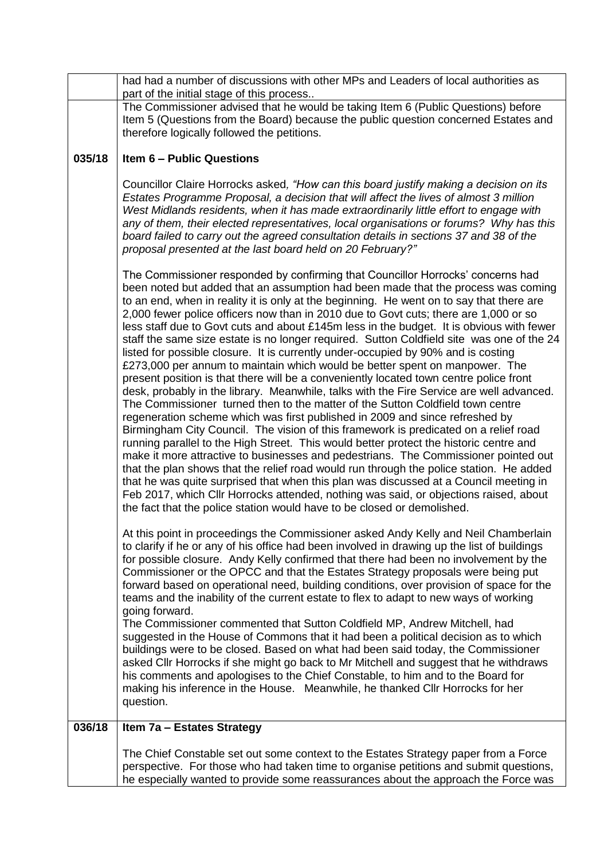|        | had had a number of discussions with other MPs and Leaders of local authorities as<br>part of the initial stage of this process                                                                                                                                                                                                                                                                                                                                                                                                                                                                                                                                                                                                                                                                                                                                                                                                                                                                                                                                                                                                                                                                                                                                                                                                                                                                                                                                                                                                                                                                                                                                                                                |
|--------|----------------------------------------------------------------------------------------------------------------------------------------------------------------------------------------------------------------------------------------------------------------------------------------------------------------------------------------------------------------------------------------------------------------------------------------------------------------------------------------------------------------------------------------------------------------------------------------------------------------------------------------------------------------------------------------------------------------------------------------------------------------------------------------------------------------------------------------------------------------------------------------------------------------------------------------------------------------------------------------------------------------------------------------------------------------------------------------------------------------------------------------------------------------------------------------------------------------------------------------------------------------------------------------------------------------------------------------------------------------------------------------------------------------------------------------------------------------------------------------------------------------------------------------------------------------------------------------------------------------------------------------------------------------------------------------------------------------|
|        | The Commissioner advised that he would be taking Item 6 (Public Questions) before<br>Item 5 (Questions from the Board) because the public question concerned Estates and<br>therefore logically followed the petitions.                                                                                                                                                                                                                                                                                                                                                                                                                                                                                                                                                                                                                                                                                                                                                                                                                                                                                                                                                                                                                                                                                                                                                                                                                                                                                                                                                                                                                                                                                        |
| 035/18 | <b>Item 6 - Public Questions</b>                                                                                                                                                                                                                                                                                                                                                                                                                                                                                                                                                                                                                                                                                                                                                                                                                                                                                                                                                                                                                                                                                                                                                                                                                                                                                                                                                                                                                                                                                                                                                                                                                                                                               |
|        | Councillor Claire Horrocks asked, "How can this board justify making a decision on its<br>Estates Programme Proposal, a decision that will affect the lives of almost 3 million<br>West Midlands residents, when it has made extraordinarily little effort to engage with<br>any of them, their elected representatives, local organisations or forums? Why has this<br>board failed to carry out the agreed consultation details in sections 37 and 38 of the<br>proposal presented at the last board held on 20 February?"                                                                                                                                                                                                                                                                                                                                                                                                                                                                                                                                                                                                                                                                                                                                                                                                                                                                                                                                                                                                                                                                                                                                                                                   |
|        | The Commissioner responded by confirming that Councillor Horrocks' concerns had<br>been noted but added that an assumption had been made that the process was coming<br>to an end, when in reality it is only at the beginning. He went on to say that there are<br>2,000 fewer police officers now than in 2010 due to Govt cuts; there are 1,000 or so<br>less staff due to Govt cuts and about £145m less in the budget. It is obvious with fewer<br>staff the same size estate is no longer required. Sutton Coldfield site was one of the 24<br>listed for possible closure. It is currently under-occupied by 90% and is costing<br>£273,000 per annum to maintain which would be better spent on manpower. The<br>present position is that there will be a conveniently located town centre police front<br>desk, probably in the library. Meanwhile, talks with the Fire Service are well advanced.<br>The Commissioner turned then to the matter of the Sutton Coldfield town centre<br>regeneration scheme which was first published in 2009 and since refreshed by<br>Birmingham City Council. The vision of this framework is predicated on a relief road<br>running parallel to the High Street. This would better protect the historic centre and<br>make it more attractive to businesses and pedestrians. The Commissioner pointed out<br>that the plan shows that the relief road would run through the police station. He added<br>that he was quite surprised that when this plan was discussed at a Council meeting in<br>Feb 2017, which Cllr Horrocks attended, nothing was said, or objections raised, about<br>the fact that the police station would have to be closed or demolished. |
|        | At this point in proceedings the Commissioner asked Andy Kelly and Neil Chamberlain<br>to clarify if he or any of his office had been involved in drawing up the list of buildings<br>for possible closure. Andy Kelly confirmed that there had been no involvement by the<br>Commissioner or the OPCC and that the Estates Strategy proposals were being put<br>forward based on operational need, building conditions, over provision of space for the<br>teams and the inability of the current estate to flex to adapt to new ways of working<br>going forward.<br>The Commissioner commented that Sutton Coldfield MP, Andrew Mitchell, had<br>suggested in the House of Commons that it had been a political decision as to which<br>buildings were to be closed. Based on what had been said today, the Commissioner<br>asked Cllr Horrocks if she might go back to Mr Mitchell and suggest that he withdraws<br>his comments and apologises to the Chief Constable, to him and to the Board for<br>making his inference in the House. Meanwhile, he thanked Cllr Horrocks for her<br>question.                                                                                                                                                                                                                                                                                                                                                                                                                                                                                                                                                                                                         |
| 036/18 | Item 7a - Estates Strategy                                                                                                                                                                                                                                                                                                                                                                                                                                                                                                                                                                                                                                                                                                                                                                                                                                                                                                                                                                                                                                                                                                                                                                                                                                                                                                                                                                                                                                                                                                                                                                                                                                                                                     |
|        | The Chief Constable set out some context to the Estates Strategy paper from a Force<br>perspective. For those who had taken time to organise petitions and submit questions,<br>he especially wanted to provide some reassurances about the approach the Force was                                                                                                                                                                                                                                                                                                                                                                                                                                                                                                                                                                                                                                                                                                                                                                                                                                                                                                                                                                                                                                                                                                                                                                                                                                                                                                                                                                                                                                             |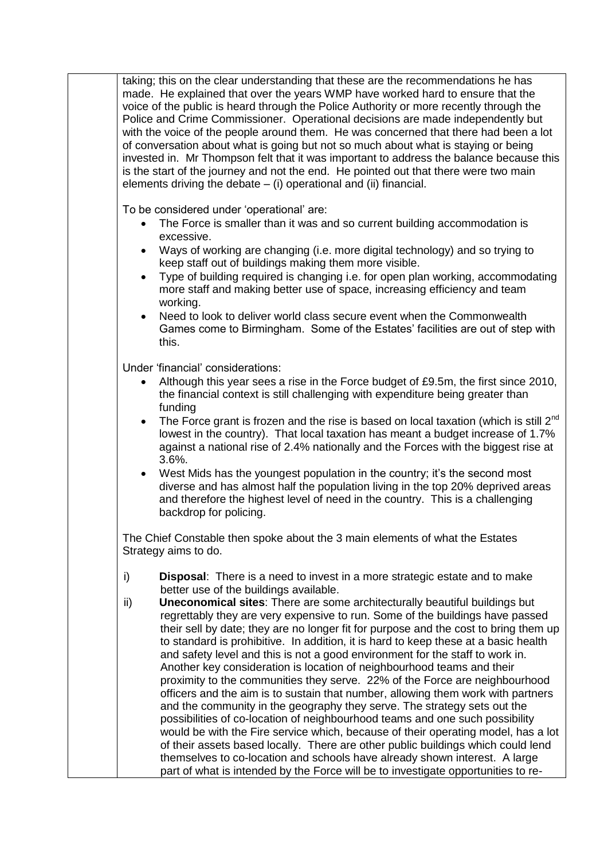taking; this on the clear understanding that these are the recommendations he has made. He explained that over the years WMP have worked hard to ensure that the voice of the public is heard through the Police Authority or more recently through the Police and Crime Commissioner. Operational decisions are made independently but with the voice of the people around them. He was concerned that there had been a lot of conversation about what is going but not so much about what is staying or being invested in. Mr Thompson felt that it was important to address the balance because this is the start of the journey and not the end. He pointed out that there were two main elements driving the debate – (i) operational and (ii) financial.

To be considered under 'operational' are:

- The Force is smaller than it was and so current building accommodation is excessive.
- Ways of working are changing (i.e. more digital technology) and so trying to keep staff out of buildings making them more visible.
- Type of building required is changing i.e. for open plan working, accommodating more staff and making better use of space, increasing efficiency and team working.
- Need to look to deliver world class secure event when the Commonwealth Games come to Birmingham. Some of the Estates' facilities are out of step with this.

Under 'financial' considerations:

- Although this year sees a rise in the Force budget of £9.5m, the first since 2010, the financial context is still challenging with expenditure being greater than funding
- The Force grant is frozen and the rise is based on local taxation (which is still 2<sup>nd</sup> lowest in the country). That local taxation has meant a budget increase of 1.7% against a national rise of 2.4% nationally and the Forces with the biggest rise at 3.6%.
- West Mids has the youngest population in the country; it's the second most diverse and has almost half the population living in the top 20% deprived areas and therefore the highest level of need in the country. This is a challenging backdrop for policing.

The Chief Constable then spoke about the 3 main elements of what the Estates Strategy aims to do.

- i) **Disposal**: There is a need to invest in a more strategic estate and to make better use of the buildings available.
- ii) **Uneconomical sites**: There are some architecturally beautiful buildings but regrettably they are very expensive to run. Some of the buildings have passed their sell by date; they are no longer fit for purpose and the cost to bring them up to standard is prohibitive. In addition, it is hard to keep these at a basic health and safety level and this is not a good environment for the staff to work in. Another key consideration is location of neighbourhood teams and their proximity to the communities they serve. 22% of the Force are neighbourhood officers and the aim is to sustain that number, allowing them work with partners and the community in the geography they serve. The strategy sets out the possibilities of co-location of neighbourhood teams and one such possibility would be with the Fire service which, because of their operating model, has a lot of their assets based locally. There are other public buildings which could lend themselves to co-location and schools have already shown interest. A large part of what is intended by the Force will be to investigate opportunities to re-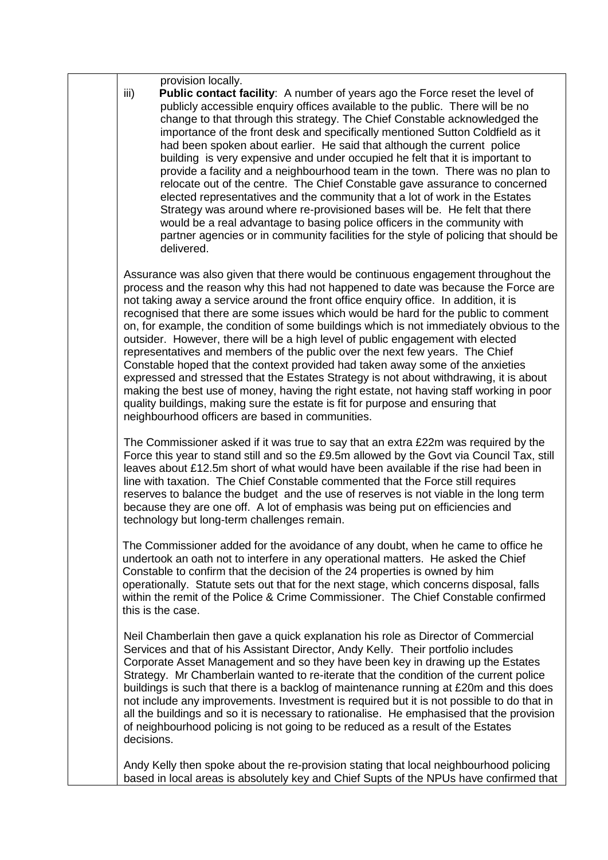provision locally.

iii) **Public contact facility**: A number of years ago the Force reset the level of publicly accessible enquiry offices available to the public. There will be no change to that through this strategy. The Chief Constable acknowledged the importance of the front desk and specifically mentioned Sutton Coldfield as it had been spoken about earlier. He said that although the current police building is very expensive and under occupied he felt that it is important to provide a facility and a neighbourhood team in the town. There was no plan to relocate out of the centre. The Chief Constable gave assurance to concerned elected representatives and the community that a lot of work in the Estates Strategy was around where re-provisioned bases will be. He felt that there would be a real advantage to basing police officers in the community with partner agencies or in community facilities for the style of policing that should be delivered.

Assurance was also given that there would be continuous engagement throughout the process and the reason why this had not happened to date was because the Force are not taking away a service around the front office enquiry office. In addition, it is recognised that there are some issues which would be hard for the public to comment on, for example, the condition of some buildings which is not immediately obvious to the outsider. However, there will be a high level of public engagement with elected representatives and members of the public over the next few years. The Chief Constable hoped that the context provided had taken away some of the anxieties expressed and stressed that the Estates Strategy is not about withdrawing, it is about making the best use of money, having the right estate, not having staff working in poor quality buildings, making sure the estate is fit for purpose and ensuring that neighbourhood officers are based in communities.

The Commissioner asked if it was true to say that an extra £22m was required by the Force this year to stand still and so the £9.5m allowed by the Govt via Council Tax, still leaves about £12.5m short of what would have been available if the rise had been in line with taxation. The Chief Constable commented that the Force still requires reserves to balance the budget and the use of reserves is not viable in the long term because they are one off. A lot of emphasis was being put on efficiencies and technology but long-term challenges remain.

The Commissioner added for the avoidance of any doubt, when he came to office he undertook an oath not to interfere in any operational matters. He asked the Chief Constable to confirm that the decision of the 24 properties is owned by him operationally. Statute sets out that for the next stage, which concerns disposal, falls within the remit of the Police & Crime Commissioner. The Chief Constable confirmed this is the case.

Neil Chamberlain then gave a quick explanation his role as Director of Commercial Services and that of his Assistant Director, Andy Kelly. Their portfolio includes Corporate Asset Management and so they have been key in drawing up the Estates Strategy. Mr Chamberlain wanted to re-iterate that the condition of the current police buildings is such that there is a backlog of maintenance running at £20m and this does not include any improvements. Investment is required but it is not possible to do that in all the buildings and so it is necessary to rationalise. He emphasised that the provision of neighbourhood policing is not going to be reduced as a result of the Estates decisions.

Andy Kelly then spoke about the re-provision stating that local neighbourhood policing based in local areas is absolutely key and Chief Supts of the NPUs have confirmed that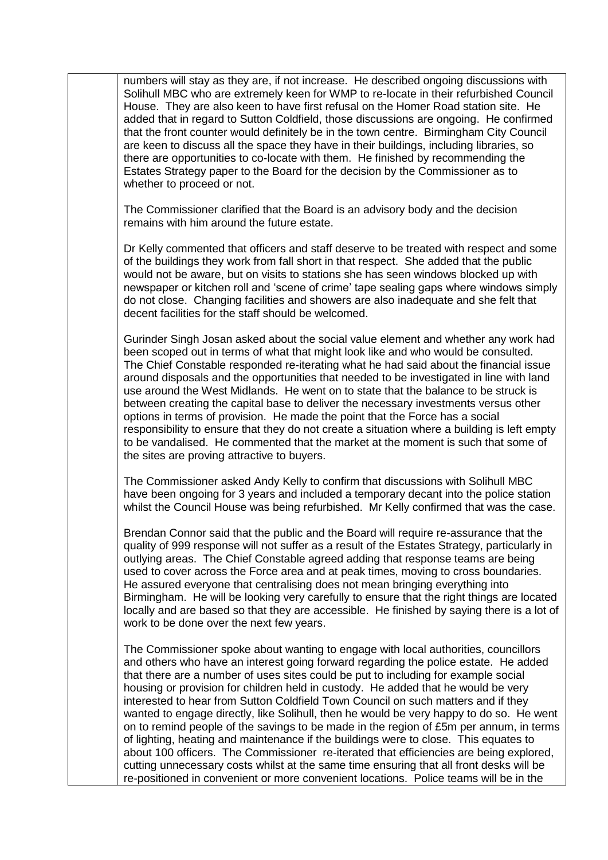numbers will stay as they are, if not increase. He described ongoing discussions with Solihull MBC who are extremely keen for WMP to re-locate in their refurbished Council House. They are also keen to have first refusal on the Homer Road station site. He added that in regard to Sutton Coldfield, those discussions are ongoing. He confirmed that the front counter would definitely be in the town centre. Birmingham City Council are keen to discuss all the space they have in their buildings, including libraries, so there are opportunities to co-locate with them. He finished by recommending the Estates Strategy paper to the Board for the decision by the Commissioner as to whether to proceed or not.

The Commissioner clarified that the Board is an advisory body and the decision remains with him around the future estate.

Dr Kelly commented that officers and staff deserve to be treated with respect and some of the buildings they work from fall short in that respect. She added that the public would not be aware, but on visits to stations she has seen windows blocked up with newspaper or kitchen roll and 'scene of crime' tape sealing gaps where windows simply do not close. Changing facilities and showers are also inadequate and she felt that decent facilities for the staff should be welcomed.

Gurinder Singh Josan asked about the social value element and whether any work had been scoped out in terms of what that might look like and who would be consulted. The Chief Constable responded re-iterating what he had said about the financial issue around disposals and the opportunities that needed to be investigated in line with land use around the West Midlands. He went on to state that the balance to be struck is between creating the capital base to deliver the necessary investments versus other options in terms of provision. He made the point that the Force has a social responsibility to ensure that they do not create a situation where a building is left empty to be vandalised. He commented that the market at the moment is such that some of the sites are proving attractive to buyers.

The Commissioner asked Andy Kelly to confirm that discussions with Solihull MBC have been ongoing for 3 years and included a temporary decant into the police station whilst the Council House was being refurbished. Mr Kelly confirmed that was the case.

Brendan Connor said that the public and the Board will require re-assurance that the quality of 999 response will not suffer as a result of the Estates Strategy, particularly in outlying areas. The Chief Constable agreed adding that response teams are being used to cover across the Force area and at peak times, moving to cross boundaries. He assured everyone that centralising does not mean bringing everything into Birmingham. He will be looking very carefully to ensure that the right things are located locally and are based so that they are accessible. He finished by saying there is a lot of work to be done over the next few years.

The Commissioner spoke about wanting to engage with local authorities, councillors and others who have an interest going forward regarding the police estate. He added that there are a number of uses sites could be put to including for example social housing or provision for children held in custody. He added that he would be very interested to hear from Sutton Coldfield Town Council on such matters and if they wanted to engage directly, like Solihull, then he would be very happy to do so. He went on to remind people of the savings to be made in the region of £5m per annum, in terms of lighting, heating and maintenance if the buildings were to close. This equates to about 100 officers. The Commissioner re-iterated that efficiencies are being explored, cutting unnecessary costs whilst at the same time ensuring that all front desks will be re-positioned in convenient or more convenient locations. Police teams will be in the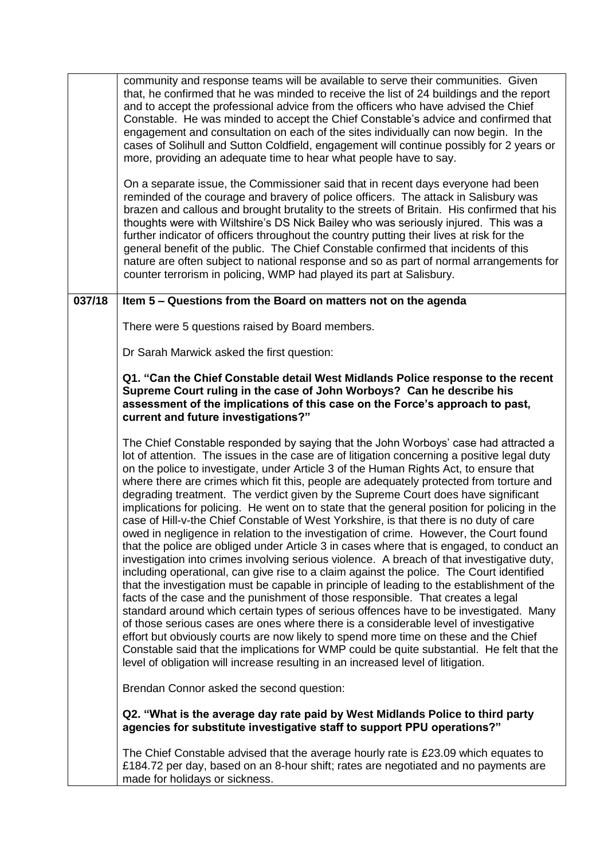|        | community and response teams will be available to serve their communities. Given<br>that, he confirmed that he was minded to receive the list of 24 buildings and the report<br>and to accept the professional advice from the officers who have advised the Chief<br>Constable. He was minded to accept the Chief Constable's advice and confirmed that<br>engagement and consultation on each of the sites individually can now begin. In the<br>cases of Solihull and Sutton Coldfield, engagement will continue possibly for 2 years or<br>more, providing an adequate time to hear what people have to say.<br>On a separate issue, the Commissioner said that in recent days everyone had been<br>reminded of the courage and bravery of police officers. The attack in Salisbury was<br>brazen and callous and brought brutality to the streets of Britain. His confirmed that his<br>thoughts were with Wiltshire's DS Nick Bailey who was seriously injured. This was a<br>further indicator of officers throughout the country putting their lives at risk for the<br>general benefit of the public. The Chief Constable confirmed that incidents of this                                                                                                                                                                                                                                                                                                                                                                                                                                                                                                                                                            |
|--------|--------------------------------------------------------------------------------------------------------------------------------------------------------------------------------------------------------------------------------------------------------------------------------------------------------------------------------------------------------------------------------------------------------------------------------------------------------------------------------------------------------------------------------------------------------------------------------------------------------------------------------------------------------------------------------------------------------------------------------------------------------------------------------------------------------------------------------------------------------------------------------------------------------------------------------------------------------------------------------------------------------------------------------------------------------------------------------------------------------------------------------------------------------------------------------------------------------------------------------------------------------------------------------------------------------------------------------------------------------------------------------------------------------------------------------------------------------------------------------------------------------------------------------------------------------------------------------------------------------------------------------------------------------------------------------------------------------------------------------|
|        | nature are often subject to national response and so as part of normal arrangements for<br>counter terrorism in policing, WMP had played its part at Salisbury.                                                                                                                                                                                                                                                                                                                                                                                                                                                                                                                                                                                                                                                                                                                                                                                                                                                                                                                                                                                                                                                                                                                                                                                                                                                                                                                                                                                                                                                                                                                                                                |
| 037/18 | Item 5 - Questions from the Board on matters not on the agenda                                                                                                                                                                                                                                                                                                                                                                                                                                                                                                                                                                                                                                                                                                                                                                                                                                                                                                                                                                                                                                                                                                                                                                                                                                                                                                                                                                                                                                                                                                                                                                                                                                                                 |
|        | There were 5 questions raised by Board members.                                                                                                                                                                                                                                                                                                                                                                                                                                                                                                                                                                                                                                                                                                                                                                                                                                                                                                                                                                                                                                                                                                                                                                                                                                                                                                                                                                                                                                                                                                                                                                                                                                                                                |
|        | Dr Sarah Marwick asked the first question:                                                                                                                                                                                                                                                                                                                                                                                                                                                                                                                                                                                                                                                                                                                                                                                                                                                                                                                                                                                                                                                                                                                                                                                                                                                                                                                                                                                                                                                                                                                                                                                                                                                                                     |
|        | Q1. "Can the Chief Constable detail West Midlands Police response to the recent<br>Supreme Court ruling in the case of John Worboys? Can he describe his<br>assessment of the implications of this case on the Force's approach to past,<br>current and future investigations?"                                                                                                                                                                                                                                                                                                                                                                                                                                                                                                                                                                                                                                                                                                                                                                                                                                                                                                                                                                                                                                                                                                                                                                                                                                                                                                                                                                                                                                                |
|        | The Chief Constable responded by saying that the John Worboys' case had attracted a<br>lot of attention. The issues in the case are of litigation concerning a positive legal duty<br>on the police to investigate, under Article 3 of the Human Rights Act, to ensure that<br>where there are crimes which fit this, people are adequately protected from torture and<br>degrading treatment. The verdict given by the Supreme Court does have significant<br>implications for policing. He went on to state that the general position for policing in the<br>case of Hill-v-the Chief Constable of West Yorkshire, is that there is no duty of care<br>owed in negligence in relation to the investigation of crime. However, the Court found<br>that the police are obliged under Article 3 in cases where that is engaged, to conduct an<br>investigation into crimes involving serious violence. A breach of that investigative duty,<br>including operational, can give rise to a claim against the police. The Court identified<br>that the investigation must be capable in principle of leading to the establishment of the<br>facts of the case and the punishment of those responsible. That creates a legal<br>standard around which certain types of serious offences have to be investigated. Many<br>of those serious cases are ones where there is a considerable level of investigative<br>effort but obviously courts are now likely to spend more time on these and the Chief<br>Constable said that the implications for WMP could be quite substantial. He felt that the<br>level of obligation will increase resulting in an increased level of litigation.<br>Brendan Connor asked the second question: |
|        | Q2. "What is the average day rate paid by West Midlands Police to third party<br>agencies for substitute investigative staff to support PPU operations?"                                                                                                                                                                                                                                                                                                                                                                                                                                                                                                                                                                                                                                                                                                                                                                                                                                                                                                                                                                                                                                                                                                                                                                                                                                                                                                                                                                                                                                                                                                                                                                       |
|        | The Chief Constable advised that the average hourly rate is £23.09 which equates to<br>£184.72 per day, based on an 8-hour shift; rates are negotiated and no payments are<br>made for holidays or sickness.                                                                                                                                                                                                                                                                                                                                                                                                                                                                                                                                                                                                                                                                                                                                                                                                                                                                                                                                                                                                                                                                                                                                                                                                                                                                                                                                                                                                                                                                                                                   |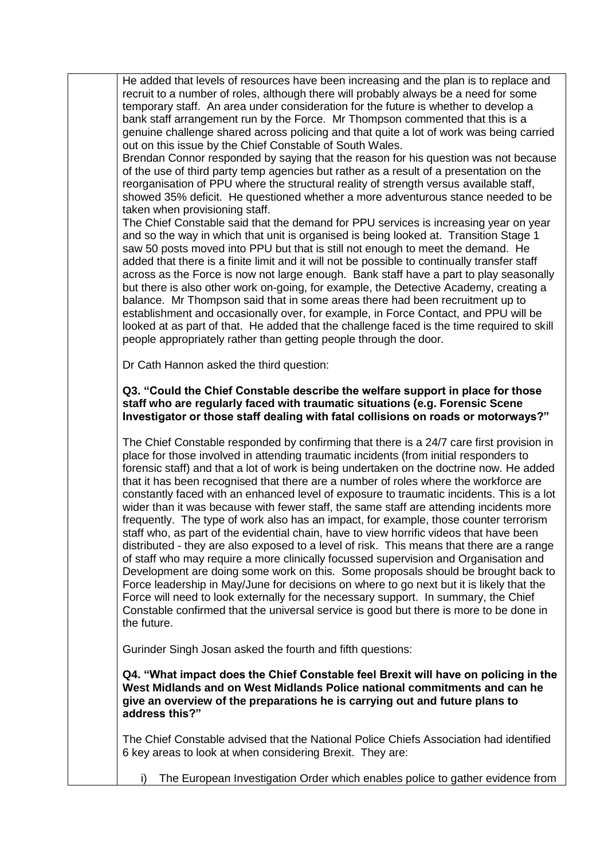He added that levels of resources have been increasing and the plan is to replace and recruit to a number of roles, although there will probably always be a need for some temporary staff. An area under consideration for the future is whether to develop a bank staff arrangement run by the Force. Mr Thompson commented that this is a genuine challenge shared across policing and that quite a lot of work was being carried out on this issue by the Chief Constable of South Wales.

Brendan Connor responded by saying that the reason for his question was not because of the use of third party temp agencies but rather as a result of a presentation on the reorganisation of PPU where the structural reality of strength versus available staff, showed 35% deficit. He questioned whether a more adventurous stance needed to be taken when provisioning staff.

The Chief Constable said that the demand for PPU services is increasing year on year and so the way in which that unit is organised is being looked at. Transition Stage 1 saw 50 posts moved into PPU but that is still not enough to meet the demand. He added that there is a finite limit and it will not be possible to continually transfer staff across as the Force is now not large enough. Bank staff have a part to play seasonally but there is also other work on-going, for example, the Detective Academy, creating a balance. Mr Thompson said that in some areas there had been recruitment up to establishment and occasionally over, for example, in Force Contact, and PPU will be looked at as part of that. He added that the challenge faced is the time required to skill people appropriately rather than getting people through the door.

Dr Cath Hannon asked the third question:

## **Q3. "Could the Chief Constable describe the welfare support in place for those staff who are regularly faced with traumatic situations (e.g. Forensic Scene Investigator or those staff dealing with fatal collisions on roads or motorways?"**

The Chief Constable responded by confirming that there is a 24/7 care first provision in place for those involved in attending traumatic incidents (from initial responders to forensic staff) and that a lot of work is being undertaken on the doctrine now. He added that it has been recognised that there are a number of roles where the workforce are constantly faced with an enhanced level of exposure to traumatic incidents. This is a lot wider than it was because with fewer staff, the same staff are attending incidents more frequently. The type of work also has an impact, for example, those counter terrorism staff who, as part of the evidential chain, have to view horrific videos that have been distributed - they are also exposed to a level of risk. This means that there are a range of staff who may require a more clinically focussed supervision and Organisation and Development are doing some work on this. Some proposals should be brought back to Force leadership in May/June for decisions on where to go next but it is likely that the Force will need to look externally for the necessary support. In summary, the Chief Constable confirmed that the universal service is good but there is more to be done in the future.

Gurinder Singh Josan asked the fourth and fifth questions:

**Q4. "What impact does the Chief Constable feel Brexit will have on policing in the West Midlands and on West Midlands Police national commitments and can he give an overview of the preparations he is carrying out and future plans to address this?"**

The Chief Constable advised that the National Police Chiefs Association had identified 6 key areas to look at when considering Brexit. They are:

i) The European Investigation Order which enables police to gather evidence from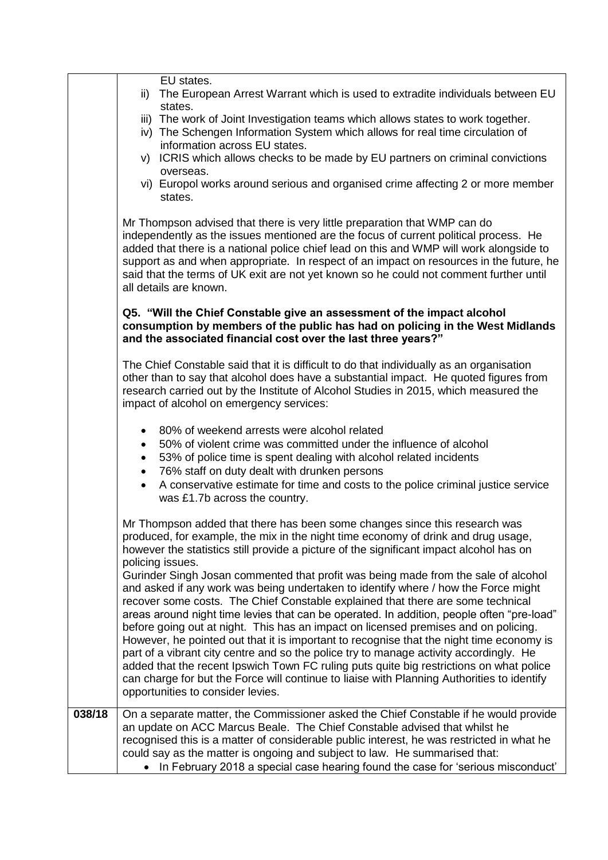|        | EU states.<br>The European Arrest Warrant which is used to extradite individuals between EU<br>ii)<br>states.<br>iii) The work of Joint Investigation teams which allows states to work together.<br>iv) The Schengen Information System which allows for real time circulation of<br>information across EU states.<br>v) ICRIS which allows checks to be made by EU partners on criminal convictions<br>overseas.<br>vi) Europol works around serious and organised crime affecting 2 or more member<br>states.<br>Mr Thompson advised that there is very little preparation that WMP can do<br>independently as the issues mentioned are the focus of current political process. He<br>added that there is a national police chief lead on this and WMP will work alongside to<br>support as and when appropriate. In respect of an impact on resources in the future, he<br>said that the terms of UK exit are not yet known so he could not comment further until<br>all details are known.                                                                                                                                                       |
|--------|-------------------------------------------------------------------------------------------------------------------------------------------------------------------------------------------------------------------------------------------------------------------------------------------------------------------------------------------------------------------------------------------------------------------------------------------------------------------------------------------------------------------------------------------------------------------------------------------------------------------------------------------------------------------------------------------------------------------------------------------------------------------------------------------------------------------------------------------------------------------------------------------------------------------------------------------------------------------------------------------------------------------------------------------------------------------------------------------------------------------------------------------------------|
|        | Q5. "Will the Chief Constable give an assessment of the impact alcohol<br>consumption by members of the public has had on policing in the West Midlands<br>and the associated financial cost over the last three years?"                                                                                                                                                                                                                                                                                                                                                                                                                                                                                                                                                                                                                                                                                                                                                                                                                                                                                                                              |
|        | The Chief Constable said that it is difficult to do that individually as an organisation<br>other than to say that alcohol does have a substantial impact. He quoted figures from<br>research carried out by the Institute of Alcohol Studies in 2015, which measured the<br>impact of alcohol on emergency services:                                                                                                                                                                                                                                                                                                                                                                                                                                                                                                                                                                                                                                                                                                                                                                                                                                 |
|        | 80% of weekend arrests were alcohol related<br>٠<br>50% of violent crime was committed under the influence of alcohol<br>$\bullet$<br>53% of police time is spent dealing with alcohol related incidents<br>$\bullet$<br>76% staff on duty dealt with drunken persons<br>$\bullet$<br>A conservative estimate for time and costs to the police criminal justice service<br>was £1.7b across the country.                                                                                                                                                                                                                                                                                                                                                                                                                                                                                                                                                                                                                                                                                                                                              |
|        | Mr Thompson added that there has been some changes since this research was<br>produced, for example, the mix in the night time economy of drink and drug usage,<br>however the statistics still provide a picture of the significant impact alcohol has on<br>policing issues.<br>Gurinder Singh Josan commented that profit was being made from the sale of alcohol<br>and asked if any work was being undertaken to identify where / how the Force might<br>recover some costs. The Chief Constable explained that there are some technical<br>areas around night time levies that can be operated. In addition, people often "pre-load"<br>before going out at night. This has an impact on licensed premises and on policing.<br>However, he pointed out that it is important to recognise that the night time economy is<br>part of a vibrant city centre and so the police try to manage activity accordingly. He<br>added that the recent Ipswich Town FC ruling puts quite big restrictions on what police<br>can charge for but the Force will continue to liaise with Planning Authorities to identify<br>opportunities to consider levies. |
| 038/18 | On a separate matter, the Commissioner asked the Chief Constable if he would provide<br>an update on ACC Marcus Beale. The Chief Constable advised that whilst he<br>recognised this is a matter of considerable public interest, he was restricted in what he<br>could say as the matter is ongoing and subject to law. He summarised that:<br>In February 2018 a special case hearing found the case for 'serious misconduct'                                                                                                                                                                                                                                                                                                                                                                                                                                                                                                                                                                                                                                                                                                                       |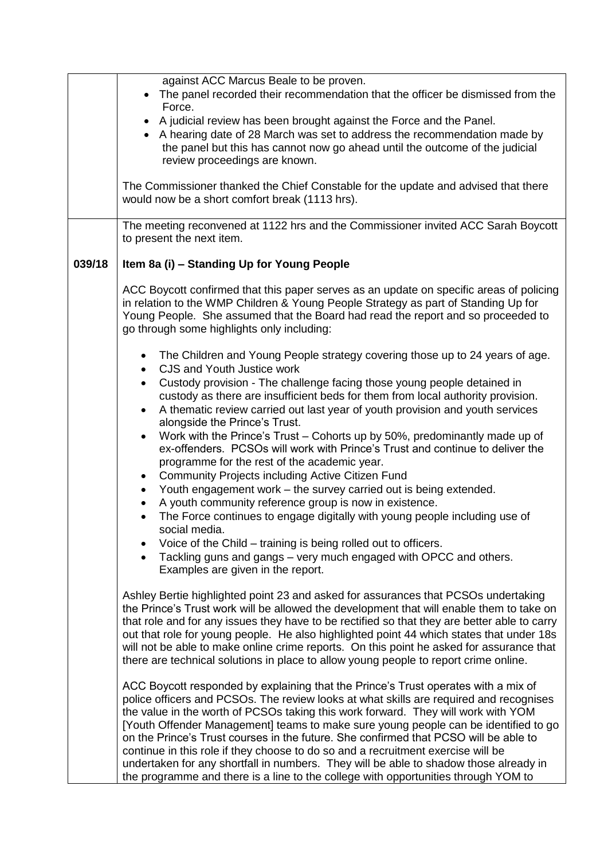|        | against ACC Marcus Beale to be proven.                                                                                                                                                                                                                                                                                                                                                                                                                                                                                                                                                                                        |
|--------|-------------------------------------------------------------------------------------------------------------------------------------------------------------------------------------------------------------------------------------------------------------------------------------------------------------------------------------------------------------------------------------------------------------------------------------------------------------------------------------------------------------------------------------------------------------------------------------------------------------------------------|
|        | The panel recorded their recommendation that the officer be dismissed from the                                                                                                                                                                                                                                                                                                                                                                                                                                                                                                                                                |
|        | Force.                                                                                                                                                                                                                                                                                                                                                                                                                                                                                                                                                                                                                        |
|        | • A judicial review has been brought against the Force and the Panel.                                                                                                                                                                                                                                                                                                                                                                                                                                                                                                                                                         |
|        | • A hearing date of 28 March was set to address the recommendation made by                                                                                                                                                                                                                                                                                                                                                                                                                                                                                                                                                    |
|        | the panel but this has cannot now go ahead until the outcome of the judicial                                                                                                                                                                                                                                                                                                                                                                                                                                                                                                                                                  |
|        | review proceedings are known.                                                                                                                                                                                                                                                                                                                                                                                                                                                                                                                                                                                                 |
|        | The Commissioner thanked the Chief Constable for the update and advised that there                                                                                                                                                                                                                                                                                                                                                                                                                                                                                                                                            |
|        | would now be a short comfort break (1113 hrs).                                                                                                                                                                                                                                                                                                                                                                                                                                                                                                                                                                                |
|        | The meeting reconvened at 1122 hrs and the Commissioner invited ACC Sarah Boycott<br>to present the next item.                                                                                                                                                                                                                                                                                                                                                                                                                                                                                                                |
| 039/18 | Item 8a (i) - Standing Up for Young People                                                                                                                                                                                                                                                                                                                                                                                                                                                                                                                                                                                    |
|        | ACC Boycott confirmed that this paper serves as an update on specific areas of policing<br>in relation to the WMP Children & Young People Strategy as part of Standing Up for<br>Young People. She assumed that the Board had read the report and so proceeded to<br>go through some highlights only including:                                                                                                                                                                                                                                                                                                               |
|        | The Children and Young People strategy covering those up to 24 years of age.<br>$\bullet$<br>CJS and Youth Justice work<br>$\bullet$                                                                                                                                                                                                                                                                                                                                                                                                                                                                                          |
|        | Custody provision - The challenge facing those young people detained in<br>$\bullet$                                                                                                                                                                                                                                                                                                                                                                                                                                                                                                                                          |
|        | custody as there are insufficient beds for them from local authority provision.                                                                                                                                                                                                                                                                                                                                                                                                                                                                                                                                               |
|        | A thematic review carried out last year of youth provision and youth services                                                                                                                                                                                                                                                                                                                                                                                                                                                                                                                                                 |
|        | alongside the Prince's Trust.                                                                                                                                                                                                                                                                                                                                                                                                                                                                                                                                                                                                 |
|        | Work with the Prince's Trust - Cohorts up by 50%, predominantly made up of<br>$\bullet$<br>ex-offenders. PCSOs will work with Prince's Trust and continue to deliver the<br>programme for the rest of the academic year.                                                                                                                                                                                                                                                                                                                                                                                                      |
|        | <b>Community Projects including Active Citizen Fund</b><br>$\bullet$                                                                                                                                                                                                                                                                                                                                                                                                                                                                                                                                                          |
|        | Youth engagement work – the survey carried out is being extended.<br>$\bullet$                                                                                                                                                                                                                                                                                                                                                                                                                                                                                                                                                |
|        | A youth community reference group is now in existence.<br>$\bullet$                                                                                                                                                                                                                                                                                                                                                                                                                                                                                                                                                           |
|        | The Force continues to engage digitally with young people including use of<br>social media.                                                                                                                                                                                                                                                                                                                                                                                                                                                                                                                                   |
|        | Voice of the Child – training is being rolled out to officers.<br>$\bullet$                                                                                                                                                                                                                                                                                                                                                                                                                                                                                                                                                   |
|        | Tackling guns and gangs – very much engaged with OPCC and others.                                                                                                                                                                                                                                                                                                                                                                                                                                                                                                                                                             |
|        | Examples are given in the report.                                                                                                                                                                                                                                                                                                                                                                                                                                                                                                                                                                                             |
|        | Ashley Bertie highlighted point 23 and asked for assurances that PCSOs undertaking<br>the Prince's Trust work will be allowed the development that will enable them to take on<br>that role and for any issues they have to be rectified so that they are better able to carry<br>out that role for young people. He also highlighted point 44 which states that under 18s<br>will not be able to make online crime reports. On this point he asked for assurance that<br>there are technical solutions in place to allow young people to report crime online.                                                                |
|        | ACC Boycott responded by explaining that the Prince's Trust operates with a mix of<br>police officers and PCSOs. The review looks at what skills are required and recognises<br>the value in the worth of PCSOs taking this work forward. They will work with YOM<br>[Youth Offender Management] teams to make sure young people can be identified to go<br>on the Prince's Trust courses in the future. She confirmed that PCSO will be able to<br>continue in this role if they choose to do so and a recruitment exercise will be<br>undertaken for any shortfall in numbers. They will be able to shadow those already in |
|        | the programme and there is a line to the college with opportunities through YOM to                                                                                                                                                                                                                                                                                                                                                                                                                                                                                                                                            |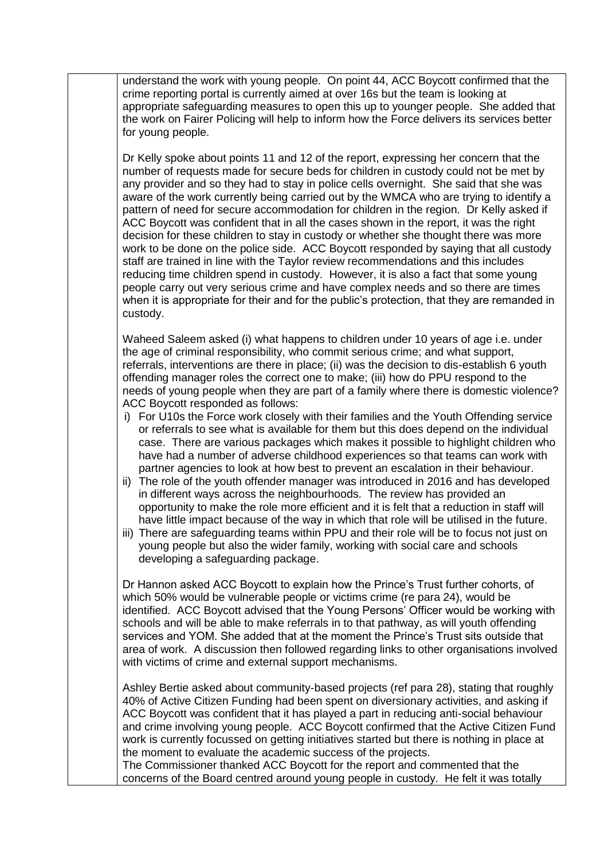understand the work with young people. On point 44, ACC Boycott confirmed that the crime reporting portal is currently aimed at over 16s but the team is looking at appropriate safeguarding measures to open this up to younger people. She added that the work on Fairer Policing will help to inform how the Force delivers its services better for young people.

Dr Kelly spoke about points 11 and 12 of the report, expressing her concern that the number of requests made for secure beds for children in custody could not be met by any provider and so they had to stay in police cells overnight. She said that she was aware of the work currently being carried out by the WMCA who are trying to identify a pattern of need for secure accommodation for children in the region. Dr Kelly asked if ACC Boycott was confident that in all the cases shown in the report, it was the right decision for these children to stay in custody or whether she thought there was more work to be done on the police side. ACC Boycott responded by saying that all custody staff are trained in line with the Taylor review recommendations and this includes reducing time children spend in custody. However, it is also a fact that some young people carry out very serious crime and have complex needs and so there are times when it is appropriate for their and for the public's protection, that they are remanded in custody.

Waheed Saleem asked (i) what happens to children under 10 years of age i.e. under the age of criminal responsibility, who commit serious crime; and what support, referrals, interventions are there in place; (ii) was the decision to dis-establish 6 youth offending manager roles the correct one to make; (iii) how do PPU respond to the needs of young people when they are part of a family where there is domestic violence? ACC Boycott responded as follows:

- i) For U10s the Force work closely with their families and the Youth Offending service or referrals to see what is available for them but this does depend on the individual case. There are various packages which makes it possible to highlight children who have had a number of adverse childhood experiences so that teams can work with partner agencies to look at how best to prevent an escalation in their behaviour.
- ii) The role of the youth offender manager was introduced in 2016 and has developed in different ways across the neighbourhoods. The review has provided an opportunity to make the role more efficient and it is felt that a reduction in staff will have little impact because of the way in which that role will be utilised in the future.
- iii) There are safeguarding teams within PPU and their role will be to focus not just on young people but also the wider family, working with social care and schools developing a safeguarding package.

Dr Hannon asked ACC Boycott to explain how the Prince's Trust further cohorts, of which 50% would be vulnerable people or victims crime (re para 24), would be identified. ACC Boycott advised that the Young Persons' Officer would be working with schools and will be able to make referrals in to that pathway, as will youth offending services and YOM. She added that at the moment the Prince's Trust sits outside that area of work. A discussion then followed regarding links to other organisations involved with victims of crime and external support mechanisms.

Ashley Bertie asked about community-based projects (ref para 28), stating that roughly 40% of Active Citizen Funding had been spent on diversionary activities, and asking if ACC Boycott was confident that it has played a part in reducing anti-social behaviour and crime involving young people. ACC Boycott confirmed that the Active Citizen Fund work is currently focussed on getting initiatives started but there is nothing in place at the moment to evaluate the academic success of the projects. The Commissioner thanked ACC Boycott for the report and commented that the

concerns of the Board centred around young people in custody. He felt it was totally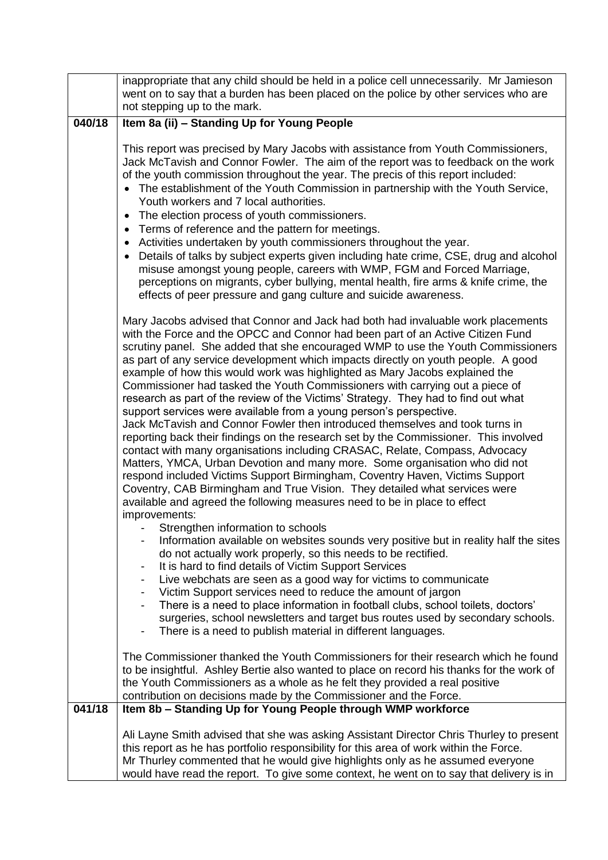|        | inappropriate that any child should be held in a police cell unnecessarily. Mr Jamieson     |
|--------|---------------------------------------------------------------------------------------------|
|        | went on to say that a burden has been placed on the police by other services who are        |
|        | not stepping up to the mark.                                                                |
| 040/18 | Item 8a (ii) - Standing Up for Young People                                                 |
|        |                                                                                             |
|        | This report was precised by Mary Jacobs with assistance from Youth Commissioners,           |
|        | Jack McTavish and Connor Fowler. The aim of the report was to feedback on the work          |
|        | of the youth commission throughout the year. The precis of this report included:            |
|        | The establishment of the Youth Commission in partnership with the Youth Service,            |
|        | Youth workers and 7 local authorities.                                                      |
|        | The election process of youth commissioners.<br>$\bullet$                                   |
|        | Terms of reference and the pattern for meetings.                                            |
|        | Activities undertaken by youth commissioners throughout the year.                           |
|        | Details of talks by subject experts given including hate crime, CSE, drug and alcohol       |
|        | misuse amongst young people, careers with WMP, FGM and Forced Marriage,                     |
|        | perceptions on migrants, cyber bullying, mental health, fire arms & knife crime, the        |
|        | effects of peer pressure and gang culture and suicide awareness.                            |
|        |                                                                                             |
|        | Mary Jacobs advised that Connor and Jack had both had invaluable work placements            |
|        | with the Force and the OPCC and Connor had been part of an Active Citizen Fund              |
|        | scrutiny panel. She added that she encouraged WMP to use the Youth Commissioners            |
|        | as part of any service development which impacts directly on youth people. A good           |
|        | example of how this would work was highlighted as Mary Jacobs explained the                 |
|        | Commissioner had tasked the Youth Commissioners with carrying out a piece of                |
|        | research as part of the review of the Victims' Strategy. They had to find out what          |
|        | support services were available from a young person's perspective.                          |
|        | Jack McTavish and Connor Fowler then introduced themselves and took turns in                |
|        | reporting back their findings on the research set by the Commissioner. This involved        |
|        | contact with many organisations including CRASAC, Relate, Compass, Advocacy                 |
|        | Matters, YMCA, Urban Devotion and many more. Some organisation who did not                  |
|        | respond included Victims Support Birmingham, Coventry Haven, Victims Support                |
|        | Coventry, CAB Birmingham and True Vision. They detailed what services were                  |
|        | available and agreed the following measures need to be in place to effect                   |
|        | improvements:                                                                               |
|        | Strengthen information to schools                                                           |
|        | Information available on websites sounds very positive but in reality half the sites        |
|        | do not actually work properly, so this needs to be rectified.                               |
|        | It is hard to find details of Victim Support Services                                       |
|        | Live webchats are seen as a good way for victims to communicate<br>$\overline{\phantom{a}}$ |
|        | Victim Support services need to reduce the amount of jargon                                 |
|        | There is a need to place information in football clubs, school toilets, doctors'            |
|        | surgeries, school newsletters and target bus routes used by secondary schools.              |
|        | There is a need to publish material in different languages.                                 |
|        |                                                                                             |
|        | The Commissioner thanked the Youth Commissioners for their research which he found          |
|        | to be insightful. Ashley Bertie also wanted to place on record his thanks for the work of   |
|        | the Youth Commissioners as a whole as he felt they provided a real positive                 |
|        | contribution on decisions made by the Commissioner and the Force.                           |
| 041/18 | Item 8b - Standing Up for Young People through WMP workforce                                |
|        | Ali Layne Smith advised that she was asking Assistant Director Chris Thurley to present     |
|        | this report as he has portfolio responsibility for this area of work within the Force.      |
|        | Mr Thurley commented that he would give highlights only as he assumed everyone              |
|        | would have read the report. To give some context, he went on to say that delivery is in     |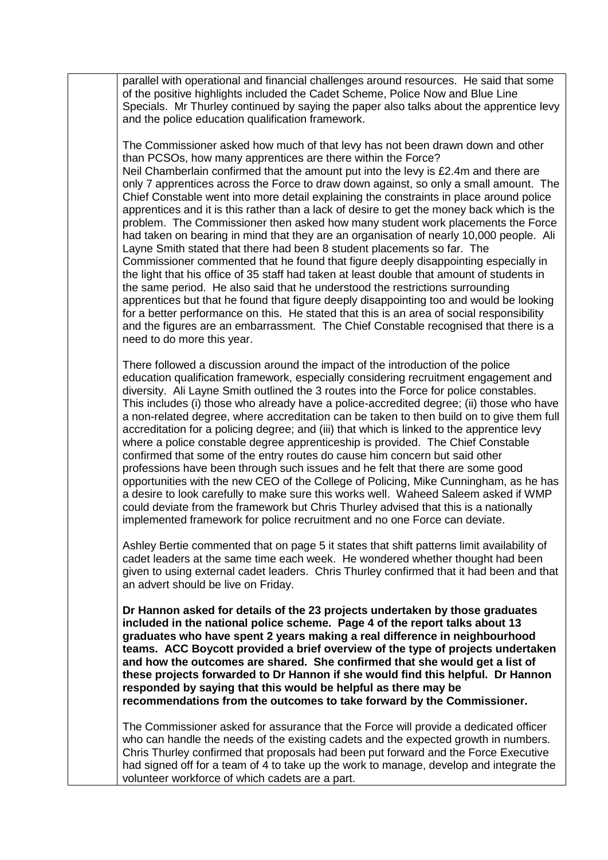parallel with operational and financial challenges around resources. He said that some of the positive highlights included the Cadet Scheme, Police Now and Blue Line Specials. Mr Thurley continued by saying the paper also talks about the apprentice levy and the police education qualification framework.

The Commissioner asked how much of that levy has not been drawn down and other than PCSOs, how many apprentices are there within the Force? Neil Chamberlain confirmed that the amount put into the levy is £2.4m and there are only 7 apprentices across the Force to draw down against, so only a small amount. The Chief Constable went into more detail explaining the constraints in place around police apprentices and it is this rather than a lack of desire to get the money back which is the problem. The Commissioner then asked how many student work placements the Force had taken on bearing in mind that they are an organisation of nearly 10,000 people. Ali Layne Smith stated that there had been 8 student placements so far. The Commissioner commented that he found that figure deeply disappointing especially in the light that his office of 35 staff had taken at least double that amount of students in the same period. He also said that he understood the restrictions surrounding apprentices but that he found that figure deeply disappointing too and would be looking for a better performance on this. He stated that this is an area of social responsibility and the figures are an embarrassment. The Chief Constable recognised that there is a need to do more this year.

There followed a discussion around the impact of the introduction of the police education qualification framework, especially considering recruitment engagement and diversity. Ali Layne Smith outlined the 3 routes into the Force for police constables. This includes (i) those who already have a police-accredited degree; (ii) those who have a non-related degree, where accreditation can be taken to then build on to give them full accreditation for a policing degree; and (iii) that which is linked to the apprentice levy where a police constable degree apprenticeship is provided. The Chief Constable confirmed that some of the entry routes do cause him concern but said other professions have been through such issues and he felt that there are some good opportunities with the new CEO of the College of Policing, Mike Cunningham, as he has a desire to look carefully to make sure this works well. Waheed Saleem asked if WMP could deviate from the framework but Chris Thurley advised that this is a nationally implemented framework for police recruitment and no one Force can deviate.

Ashley Bertie commented that on page 5 it states that shift patterns limit availability of cadet leaders at the same time each week. He wondered whether thought had been given to using external cadet leaders. Chris Thurley confirmed that it had been and that an advert should be live on Friday.

**Dr Hannon asked for details of the 23 projects undertaken by those graduates included in the national police scheme. Page 4 of the report talks about 13 graduates who have spent 2 years making a real difference in neighbourhood teams. ACC Boycott provided a brief overview of the type of projects undertaken and how the outcomes are shared. She confirmed that she would get a list of these projects forwarded to Dr Hannon if she would find this helpful. Dr Hannon responded by saying that this would be helpful as there may be recommendations from the outcomes to take forward by the Commissioner.**

The Commissioner asked for assurance that the Force will provide a dedicated officer who can handle the needs of the existing cadets and the expected growth in numbers. Chris Thurley confirmed that proposals had been put forward and the Force Executive had signed off for a team of 4 to take up the work to manage, develop and integrate the volunteer workforce of which cadets are a part.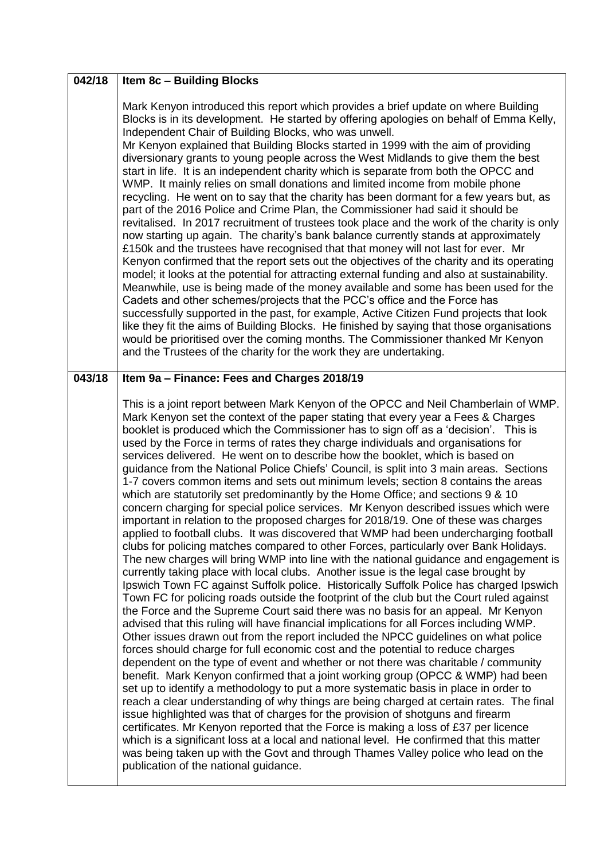| 042/18 | <b>Item 8c - Building Blocks</b>                                                                                                                                                                                                                                                                                                                                                                                                                                                                                                                                                                                                                                                                                                                                                                                                                                                                                                                                                                                                                                                                                                                                                                                                                                                                                                                                                                                                                                                                                                                                                                                                                                                                                                                                                                                                                                                                                                                                                                                                                                                                                                                                                                                                                                                                                                                                                                                                                                                                                                                                        |
|--------|-------------------------------------------------------------------------------------------------------------------------------------------------------------------------------------------------------------------------------------------------------------------------------------------------------------------------------------------------------------------------------------------------------------------------------------------------------------------------------------------------------------------------------------------------------------------------------------------------------------------------------------------------------------------------------------------------------------------------------------------------------------------------------------------------------------------------------------------------------------------------------------------------------------------------------------------------------------------------------------------------------------------------------------------------------------------------------------------------------------------------------------------------------------------------------------------------------------------------------------------------------------------------------------------------------------------------------------------------------------------------------------------------------------------------------------------------------------------------------------------------------------------------------------------------------------------------------------------------------------------------------------------------------------------------------------------------------------------------------------------------------------------------------------------------------------------------------------------------------------------------------------------------------------------------------------------------------------------------------------------------------------------------------------------------------------------------------------------------------------------------------------------------------------------------------------------------------------------------------------------------------------------------------------------------------------------------------------------------------------------------------------------------------------------------------------------------------------------------------------------------------------------------------------------------------------------------|
|        | Mark Kenyon introduced this report which provides a brief update on where Building<br>Blocks is in its development. He started by offering apologies on behalf of Emma Kelly,<br>Independent Chair of Building Blocks, who was unwell.<br>Mr Kenyon explained that Building Blocks started in 1999 with the aim of providing<br>diversionary grants to young people across the West Midlands to give them the best<br>start in life. It is an independent charity which is separate from both the OPCC and<br>WMP. It mainly relies on small donations and limited income from mobile phone<br>recycling. He went on to say that the charity has been dormant for a few years but, as<br>part of the 2016 Police and Crime Plan, the Commissioner had said it should be<br>revitalised. In 2017 recruitment of trustees took place and the work of the charity is only<br>now starting up again. The charity's bank balance currently stands at approximately<br>£150k and the trustees have recognised that that money will not last for ever. Mr<br>Kenyon confirmed that the report sets out the objectives of the charity and its operating<br>model; it looks at the potential for attracting external funding and also at sustainability.<br>Meanwhile, use is being made of the money available and some has been used for the<br>Cadets and other schemes/projects that the PCC's office and the Force has<br>successfully supported in the past, for example, Active Citizen Fund projects that look<br>like they fit the aims of Building Blocks. He finished by saying that those organisations<br>would be prioritised over the coming months. The Commissioner thanked Mr Kenyon<br>and the Trustees of the charity for the work they are undertaking.                                                                                                                                                                                                                                                                                                                                                                                                                                                                                                                                                                                                                                                                                                                                                                                                     |
| 043/18 | Item 9a - Finance: Fees and Charges 2018/19                                                                                                                                                                                                                                                                                                                                                                                                                                                                                                                                                                                                                                                                                                                                                                                                                                                                                                                                                                                                                                                                                                                                                                                                                                                                                                                                                                                                                                                                                                                                                                                                                                                                                                                                                                                                                                                                                                                                                                                                                                                                                                                                                                                                                                                                                                                                                                                                                                                                                                                             |
|        | This is a joint report between Mark Kenyon of the OPCC and Neil Chamberlain of WMP.<br>Mark Kenyon set the context of the paper stating that every year a Fees & Charges<br>booklet is produced which the Commissioner has to sign off as a 'decision'. This is<br>used by the Force in terms of rates they charge individuals and organisations for<br>services delivered. He went on to describe how the booklet, which is based on<br>guidance from the National Police Chiefs' Council, is split into 3 main areas. Sections<br>1-7 covers common items and sets out minimum levels; section 8 contains the areas<br>which are statutorily set predominantly by the Home Office; and sections 9 & 10<br>concern charging for special police services. Mr Kenyon described issues which were<br>important in relation to the proposed charges for 2018/19. One of these was charges<br>applied to football clubs. It was discovered that WMP had been undercharging football<br>clubs for policing matches compared to other Forces, particularly over Bank Holidays.<br>The new charges will bring WMP into line with the national guidance and engagement is<br>currently taking place with local clubs. Another issue is the legal case brought by<br>Ipswich Town FC against Suffolk police. Historically Suffolk Police has charged Ipswich<br>Town FC for policing roads outside the footprint of the club but the Court ruled against<br>the Force and the Supreme Court said there was no basis for an appeal. Mr Kenyon<br>advised that this ruling will have financial implications for all Forces including WMP.<br>Other issues drawn out from the report included the NPCC guidelines on what police<br>forces should charge for full economic cost and the potential to reduce charges<br>dependent on the type of event and whether or not there was charitable / community<br>benefit. Mark Kenyon confirmed that a joint working group (OPCC & WMP) had been<br>set up to identify a methodology to put a more systematic basis in place in order to<br>reach a clear understanding of why things are being charged at certain rates. The final<br>issue highlighted was that of charges for the provision of shotguns and firearm<br>certificates. Mr Kenyon reported that the Force is making a loss of £37 per licence<br>which is a significant loss at a local and national level. He confirmed that this matter<br>was being taken up with the Govt and through Thames Valley police who lead on the<br>publication of the national guidance. |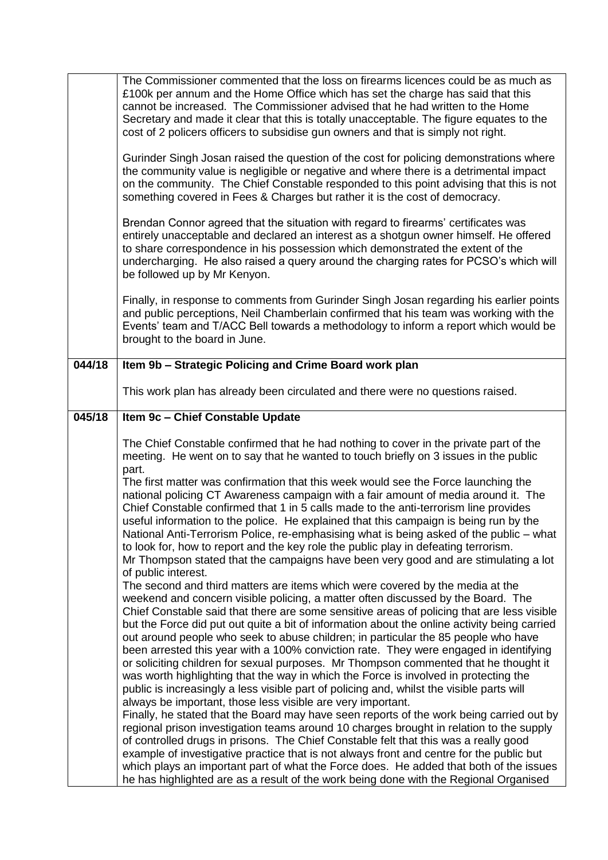|        | The Commissioner commented that the loss on firearms licences could be as much as<br>£100k per annum and the Home Office which has set the charge has said that this<br>cannot be increased. The Commissioner advised that he had written to the Home<br>Secretary and made it clear that this is totally unacceptable. The figure equates to the<br>cost of 2 policers officers to subsidise gun owners and that is simply not right.                                                                                                                                                                                                                                                                                                                                                                                                                                                                                                                                                                                                                                                                                                                                                                                                                                                                                                                                                                                                                                                        |
|--------|-----------------------------------------------------------------------------------------------------------------------------------------------------------------------------------------------------------------------------------------------------------------------------------------------------------------------------------------------------------------------------------------------------------------------------------------------------------------------------------------------------------------------------------------------------------------------------------------------------------------------------------------------------------------------------------------------------------------------------------------------------------------------------------------------------------------------------------------------------------------------------------------------------------------------------------------------------------------------------------------------------------------------------------------------------------------------------------------------------------------------------------------------------------------------------------------------------------------------------------------------------------------------------------------------------------------------------------------------------------------------------------------------------------------------------------------------------------------------------------------------|
|        | Gurinder Singh Josan raised the question of the cost for policing demonstrations where<br>the community value is negligible or negative and where there is a detrimental impact<br>on the community. The Chief Constable responded to this point advising that this is not<br>something covered in Fees & Charges but rather it is the cost of democracy.                                                                                                                                                                                                                                                                                                                                                                                                                                                                                                                                                                                                                                                                                                                                                                                                                                                                                                                                                                                                                                                                                                                                     |
|        | Brendan Connor agreed that the situation with regard to firearms' certificates was<br>entirely unacceptable and declared an interest as a shotgun owner himself. He offered<br>to share correspondence in his possession which demonstrated the extent of the<br>undercharging. He also raised a query around the charging rates for PCSO's which will<br>be followed up by Mr Kenyon.                                                                                                                                                                                                                                                                                                                                                                                                                                                                                                                                                                                                                                                                                                                                                                                                                                                                                                                                                                                                                                                                                                        |
|        | Finally, in response to comments from Gurinder Singh Josan regarding his earlier points<br>and public perceptions, Neil Chamberlain confirmed that his team was working with the<br>Events' team and T/ACC Bell towards a methodology to inform a report which would be<br>brought to the board in June.                                                                                                                                                                                                                                                                                                                                                                                                                                                                                                                                                                                                                                                                                                                                                                                                                                                                                                                                                                                                                                                                                                                                                                                      |
| 044/18 | Item 9b - Strategic Policing and Crime Board work plan                                                                                                                                                                                                                                                                                                                                                                                                                                                                                                                                                                                                                                                                                                                                                                                                                                                                                                                                                                                                                                                                                                                                                                                                                                                                                                                                                                                                                                        |
|        | This work plan has already been circulated and there were no questions raised.                                                                                                                                                                                                                                                                                                                                                                                                                                                                                                                                                                                                                                                                                                                                                                                                                                                                                                                                                                                                                                                                                                                                                                                                                                                                                                                                                                                                                |
| 045/18 | Item 9c - Chief Constable Update                                                                                                                                                                                                                                                                                                                                                                                                                                                                                                                                                                                                                                                                                                                                                                                                                                                                                                                                                                                                                                                                                                                                                                                                                                                                                                                                                                                                                                                              |
|        | The Chief Constable confirmed that he had nothing to cover in the private part of the<br>meeting. He went on to say that he wanted to touch briefly on 3 issues in the public<br>part.<br>The first matter was confirmation that this week would see the Force launching the<br>national policing CT Awareness campaign with a fair amount of media around it. The<br>Chief Constable confirmed that 1 in 5 calls made to the anti-terrorism line provides<br>useful information to the police. He explained that this campaign is being run by the<br>National Anti-Terrorism Police, re-emphasising what is being asked of the public - what<br>to look for, how to report and the key role the public play in defeating terrorism.<br>Mr Thompson stated that the campaigns have been very good and are stimulating a lot<br>of public interest.<br>The second and third matters are items which were covered by the media at the<br>weekend and concern visible policing, a matter often discussed by the Board. The<br>Chief Constable said that there are some sensitive areas of policing that are less visible<br>but the Force did put out quite a bit of information about the online activity being carried<br>out around people who seek to abuse children; in particular the 85 people who have<br>been arrested this year with a 100% conviction rate. They were engaged in identifying<br>or soliciting children for sexual purposes. Mr Thompson commented that he thought it |